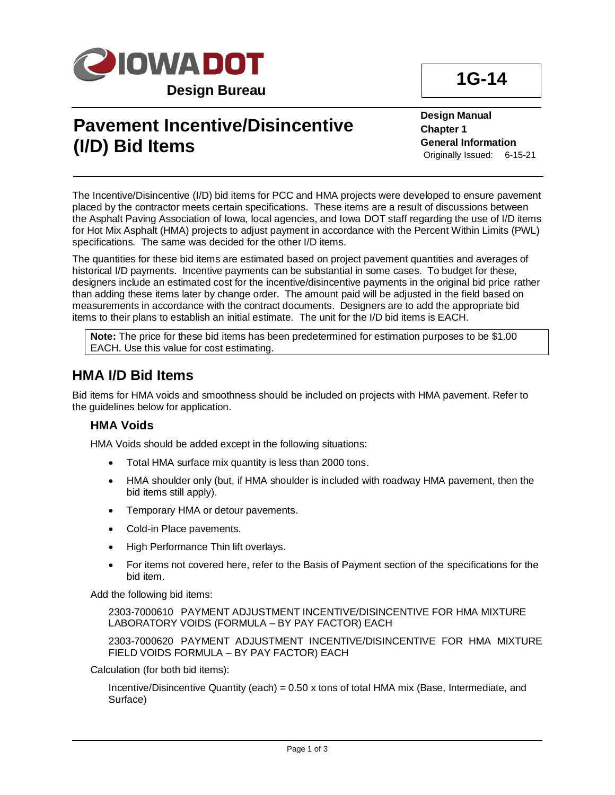

# **Pavement Incentive/Disincentive (I/D) Bid Items**

**Design Manual Chapter 1 General Information** Originally Issued: 6-15-21

The Incentive/Disincentive (I/D) bid items for PCC and HMA projects were developed to ensure pavement placed by the contractor meets certain specifications. These items are a result of discussions between the Asphalt Paving Association of Iowa, local agencies, and Iowa DOT staff regarding the use of I/D items for Hot Mix Asphalt (HMA) projects to adjust payment in accordance with the Percent Within Limits (PWL) specifications. The same was decided for the other I/D items.

The quantities for these bid items are estimated based on project pavement quantities and averages of historical I/D payments. Incentive payments can be substantial in some cases. To budget for these, designers include an estimated cost for the incentive/disincentive payments in the original bid price rather than adding these items later by change order. The amount paid will be adjusted in the field based on measurements in accordance with the contract documents. Designers are to add the appropriate bid items to their plans to establish an initial estimate. The unit for the I/D bid items is EACH.

**Note:** The price for these bid items has been predetermined for estimation purposes to be \$1.00 EACH. Use this value for cost estimating.

### **HMA I/D Bid Items**

Bid items for HMA voids and smoothness should be included on projects with HMA pavement. Refer to the guidelines below for application.

### **HMA Voids**

HMA Voids should be added except in the following situations:

- Total HMA surface mix quantity is less than 2000 tons.
- HMA shoulder only (but, if HMA shoulder is included with roadway HMA pavement, then the bid items still apply).
- Temporary HMA or detour pavements.
- Cold-in Place pavements.
- High Performance Thin lift overlays.
- For items not covered here, refer to the Basis of Payment section of the specifications for the bid item.

Add the following bid items:

2303-7000610 PAYMENT ADJUSTMENT INCENTIVE/DISINCENTIVE FOR HMA MIXTURE LABORATORY VOIDS (FORMULA – BY PAY FACTOR) EACH

2303-7000620 PAYMENT ADJUSTMENT INCENTIVE/DISINCENTIVE FOR HMA MIXTURE FIELD VOIDS FORMULA – BY PAY FACTOR) EACH

Calculation (for both bid items):

Incentive/Disincentive Quantity (each) =  $0.50$  x tons of total HMA mix (Base, Intermediate, and Surface)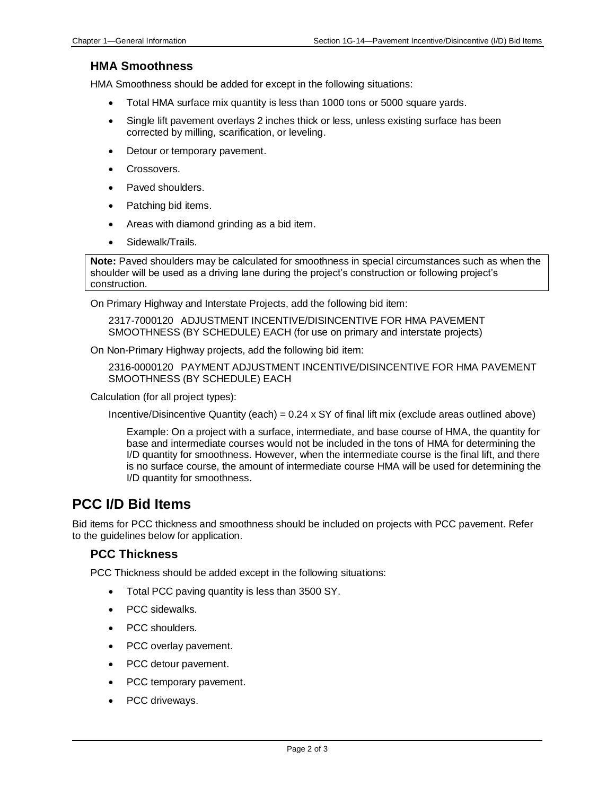### **HMA Smoothness**

HMA Smoothness should be added for except in the following situations:

- Total HMA surface mix quantity is less than 1000 tons or 5000 square yards.
- Single lift pavement overlays 2 inches thick or less, unless existing surface has been corrected by milling, scarification, or leveling.
- Detour or temporary pavement.
- Crossovers.
- Paved shoulders.
- Patching bid items.
- Areas with diamond grinding as a bid item.
- Sidewalk/Trails.

**Note:** Paved shoulders may be calculated for smoothness in special circumstances such as when the shoulder will be used as a driving lane during the project's construction or following project's construction.

On Primary Highway and Interstate Projects, add the following bid item:

2317-7000120 ADJUSTMENT INCENTIVE/DISINCENTIVE FOR HMA PAVEMENT SMOOTHNESS (BY SCHEDULE) EACH (for use on primary and interstate projects)

On Non-Primary Highway projects, add the following bid item:

2316-0000120 PAYMENT ADJUSTMENT INCENTIVE/DISINCENTIVE FOR HMA PAVEMENT SMOOTHNESS (BY SCHEDULE) EACH

Calculation (for all project types):

Incentive/Disincentive Quantity (each) =  $0.24 \times$  SY of final lift mix (exclude areas outlined above)

Example: On a project with a surface, intermediate, and base course of HMA, the quantity for base and intermediate courses would not be included in the tons of HMA for determining the I/D quantity for smoothness. However, when the intermediate course is the final lift, and there is no surface course, the amount of intermediate course HMA will be used for determining the I/D quantity for smoothness.

### **PCC I/D Bid Items**

Bid items for PCC thickness and smoothness should be included on projects with PCC pavement. Refer to the guidelines below for application.

### **PCC Thickness**

PCC Thickness should be added except in the following situations:

- Total PCC paving quantity is less than 3500 SY.
- PCC sidewalks.
- PCC shoulders.
- PCC overlay pavement.
- PCC detour pavement.
- PCC temporary pavement.
- PCC driveways.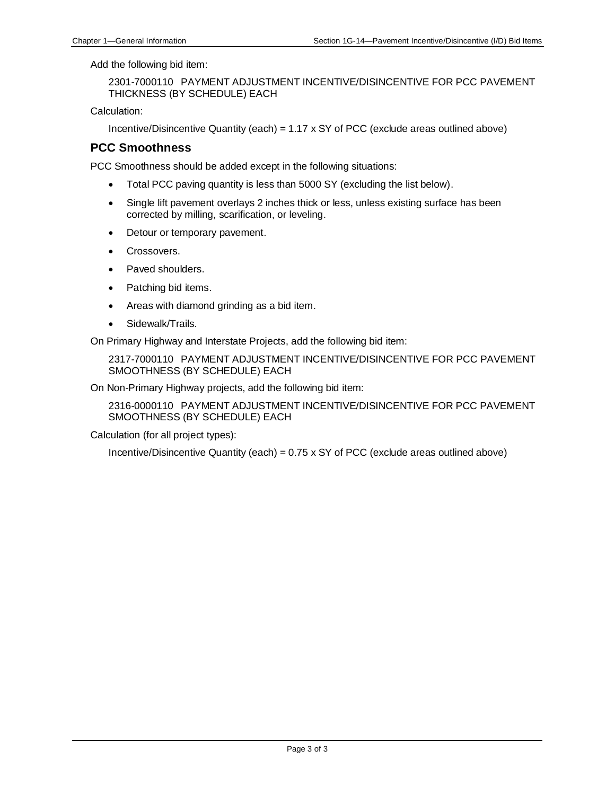Add the following bid item:

2301-7000110 PAYMENT ADJUSTMENT INCENTIVE/DISINCENTIVE FOR PCC PAVEMENT THICKNESS (BY SCHEDULE) EACH

Calculation:

Incentive/Disincentive Quantity (each) =  $1.17 \times$  SY of PCC (exclude areas outlined above)

#### **PCC Smoothness**

PCC Smoothness should be added except in the following situations:

- Total PCC paving quantity is less than 5000 SY (excluding the list below).
- Single lift pavement overlays 2 inches thick or less, unless existing surface has been corrected by milling, scarification, or leveling.
- Detour or temporary pavement.
- Crossovers.
- Paved shoulders.
- Patching bid items.
- Areas with diamond grinding as a bid item.
- Sidewalk/Trails.

On Primary Highway and Interstate Projects, add the following bid item:

2317-7000110 PAYMENT ADJUSTMENT INCENTIVE/DISINCENTIVE FOR PCC PAVEMENT SMOOTHNESS (BY SCHEDULE) EACH

On Non-Primary Highway projects, add the following bid item:

2316-0000110 PAYMENT ADJUSTMENT INCENTIVE/DISINCENTIVE FOR PCC PAVEMENT SMOOTHNESS (BY SCHEDULE) EACH

Calculation (for all project types):

Incentive/Disincentive Quantity (each) =  $0.75 \times$  SY of PCC (exclude areas outlined above)